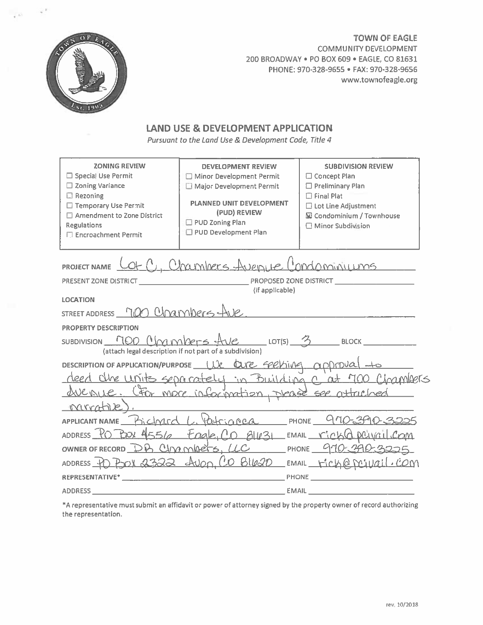

 $\sim$   $^3$ 

**TOWN OF EAGLE** COMMUNITY DEVELOPMENT 200 BROADWAY . PO BOX 609 . EAGLE, CO 81631 PHONE: 970-328-9655 · FAX: 970-328-9656 www.townofeagle.org

# **LAND USE & DEVELOPMENT APPLICATION**

Pursuant to the Land Use & Development Code, Title 4

| <b>ZONING REVIEW</b><br>$\Box$ Special Use Permit<br>$\square$ Zoning Variance<br>$\Box$ Rezoning<br>□ Temporary Use Permit<br>□ Amendment to Zone District<br><b>Regulations</b><br>□ Encroachment Permit | <b>DEVELOPMENT REVIEW</b><br>Minor Development Permit<br>Major Development Permit<br><b>PLANNED UNIT DEVELOPMENT</b><br>(PUD) REVIEW<br>□ PUD Zoning Plan<br>PUD Development Plan | <b>SUBDIVISION REVIEW</b><br>$\square$ Concept Plan<br>$\Box$ Preliminary Plan<br>$\Box$ Final Plat<br>□ Lot Line Adjustment<br><b>N</b> Condominium / Townhouse<br>Minor Subdivision |  |
|------------------------------------------------------------------------------------------------------------------------------------------------------------------------------------------------------------|-----------------------------------------------------------------------------------------------------------------------------------------------------------------------------------|---------------------------------------------------------------------------------------------------------------------------------------------------------------------------------------|--|
|                                                                                                                                                                                                            | PROJECT NAME CO+ C, Changers Avenue Condominiums                                                                                                                                  |                                                                                                                                                                                       |  |
| PRESENT ZONE DISTRICT                                                                                                                                                                                      |                                                                                                                                                                                   |                                                                                                                                                                                       |  |
| <b>LOCATION</b>                                                                                                                                                                                            | (if applicable)                                                                                                                                                                   |                                                                                                                                                                                       |  |
| STREET ADDRESS 100 Chambers the                                                                                                                                                                            |                                                                                                                                                                                   |                                                                                                                                                                                       |  |
| <b>PROPERTY DESCRIPTION</b>                                                                                                                                                                                |                                                                                                                                                                                   |                                                                                                                                                                                       |  |
|                                                                                                                                                                                                            | SUBDIVISION 100 Chambers Ave LOT(S) 3 BLOCK<br>(attach legal description if not part of a subdivision)                                                                            |                                                                                                                                                                                       |  |
|                                                                                                                                                                                                            | DESCRIPTION OF APPLICATION/PURPOSE USE OUTE SPESSING approval to                                                                                                                  |                                                                                                                                                                                       |  |
|                                                                                                                                                                                                            |                                                                                                                                                                                   | deed the units separately in Building C at 700 Chambers                                                                                                                               |  |
|                                                                                                                                                                                                            | duence. (For more information, please see attached                                                                                                                                |                                                                                                                                                                                       |  |
| rarrative                                                                                                                                                                                                  |                                                                                                                                                                                   |                                                                                                                                                                                       |  |
| APPLICANT NAME Prichard L. Patriorca                                                                                                                                                                       |                                                                                                                                                                                   | PHONE 970-390-3225                                                                                                                                                                    |  |
|                                                                                                                                                                                                            | ADDRESS PO POX 4556 Fagle, CO 81031 EMAIL rick Q polyall.Com                                                                                                                      |                                                                                                                                                                                       |  |
|                                                                                                                                                                                                            | OWNER OF RECORD DB CLD MISETS, LLC PHONE 970-390-3225                                                                                                                             |                                                                                                                                                                                       |  |
|                                                                                                                                                                                                            |                                                                                                                                                                                   | ADDRESS PO BOY 2322 ANON CO BLO20 EMAIL FICK @ DELVAIL. COM                                                                                                                           |  |
| REPRESENTATIVE* _________                                                                                                                                                                                  |                                                                                                                                                                                   | <b>PHONE Example 2006</b>                                                                                                                                                             |  |
| ADDRESS_                                                                                                                                                                                                   |                                                                                                                                                                                   | EMAIL                                                                                                                                                                                 |  |

\*A representative must submit an affidavit or power of attorney signed by the property owner of record authorizing the representation.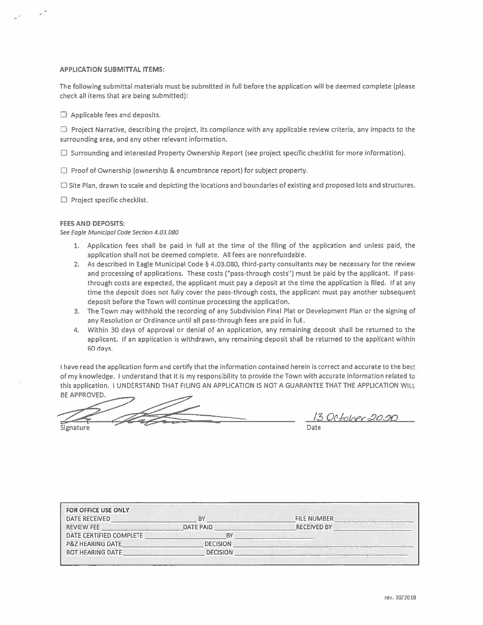#### **APPLICATION SUBMITTAL ITEMS:**

The following submittal materials must be submitted in full before the application will be deemed complete (please check all items that are being submitted):

 $\Box$  Applicable fees and deposits.

 $\Box$  Project Narrative, describing the project, its compliance with any applicable review criteria, any impacts to the surrounding area, and any other relevant information.

□ Surrounding and interested Property Ownership Report (see project specific checklist for more information).

 $\Box$  Proof of Ownership (ownership & encumbrance report) for subject property.

 $\Box$  Site Plan, drawn to scale and depicting the locations and boundaries of existing and proposed lots and structures.

 $\Box$  Project specific checklist.

#### **FEES AND DEPOSITS:**

See Eagle Municipal Code Section 4.03.080

- 1. Application fees shall be paid in full at the time of the filing of the application and unless paid, the application shall not be deemed complete. All fees are nonrefundable.
- 2. As described in Eagle Municipal Code § 4.03.080, third-party consultants may be necessary for the review and processing of applications. These costs ("pass-through costs") must be paid by the applicant. If passthrough costs are expected, the applicant must pay a deposit at the time the application is filed. If at any time the deposit does not fully cover the pass-through costs, the applicant must pay another subsequent deposit before the Town will continue processing the application.
- 3. The Town may withhold the recording of any Subdivision Final Plat or Development Plan or the signing of any Resolution or Ordinance until all pass-through fees are paid in full.
- 4. Within 30 days of approval or denial of an application, any remaining deposit shall be returned to the applicant. If an application is withdrawn, any remaining deposit shall be returned to the applicant within 60 days.

I have read the application form and certify that the information contained herein is correct and accurate to the best of my knowledge. I understand that it is my responsibility to provide the Town with accurate information related to this application. I UNDERSTAND THAT FILING AN APPLICATION IS NOT A GUARANTEE THAT THE APPLICATION WILL BE APPROVED.

Signature

<u>13 October 2020</u>

| FOR OFFICE USE ONLY         |                  |                    |
|-----------------------------|------------------|--------------------|
| <b>DATE RECEIVED</b>        | B۱               | <b>FILE NUMBER</b> |
| <b>REVIEW FEE</b>           | <b>DATE PAID</b> | <b>RECEIVED BY</b> |
| DATE CERTIFIED COMPLETE     | B۱               |                    |
| <b>P&amp;Z HEARING DATE</b> | <b>DECISION</b>  |                    |
| <b>BOT HEARING DATE</b>     | <b>DECISION</b>  |                    |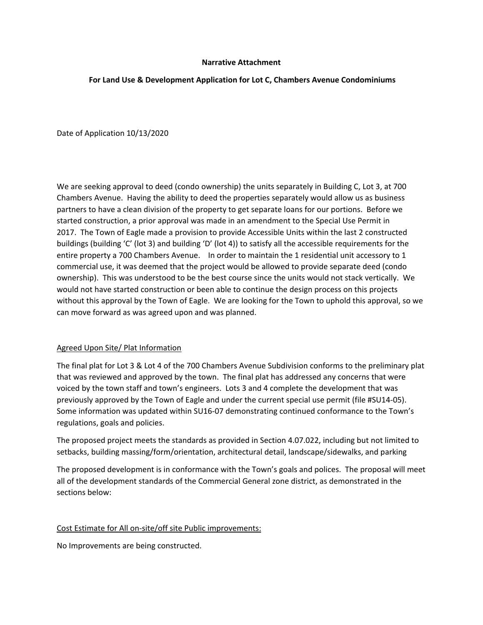#### **Narrative Attachment**

#### **For Land Use & Development Application for Lot C, Chambers Avenue Condominiums**

Date of Application 10/13/2020

We are seeking approval to deed (condo ownership) the units separately in Building C, Lot 3, at 700 Chambers Avenue. Having the ability to deed the properties separately would allow us as business partners to have a clean division of the property to get separate loans for our portions. Before we started construction, a prior approval was made in an amendment to the Special Use Permit in 2017. The Town of Eagle made a provision to provide Accessible Units within the last 2 constructed buildings (building 'C' (lot 3) and building 'D' (lot 4)) to satisfy all the accessible requirements for the entire property a 700 Chambers Avenue. In order to maintain the 1 residential unit accessory to 1 commercial use, it was deemed that the project would be allowed to provide separate deed (condo ownership). This was understood to be the best course since the units would not stack vertically. We would not have started construction or been able to continue the design process on this projects without this approval by the Town of Eagle. We are looking for the Town to uphold this approval, so we can move forward as was agreed upon and was planned.

### Agreed Upon Site/ Plat Information

The final plat for Lot 3 & Lot 4 of the 700 Chambers Avenue Subdivision conforms to the preliminary plat that was reviewed and approved by the town. The final plat has addressed any concerns that were voiced by the town staff and town's engineers. Lots 3 and 4 complete the development that was previously approved by the Town of Eagle and under the current special use permit (file #SU14-05). Some information was updated within SU16-07 demonstrating continued conformance to the Town's regulations, goals and policies.

The proposed project meets the standards as provided in Section 4.07.022, including but not limited to setbacks, building massing/form/orientation, architectural detail, landscape/sidewalks, and parking

The proposed development is in conformance with the Town's goals and polices. The proposal will meet all of the development standards of the Commercial General zone district, as demonstrated in the sections below:

#### Cost Estimate for All on-site/off site Public improvements:

No Improvements are being constructed.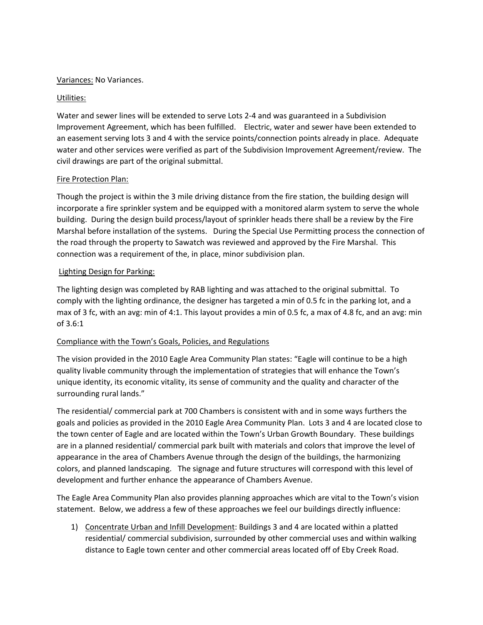## Variances: No Variances.

## Utilities:

Water and sewer lines will be extended to serve Lots 2-4 and was guaranteed in a Subdivision Improvement Agreement, which has been fulfilled. Electric, water and sewer have been extended to an easement serving lots 3 and 4 with the service points/connection points already in place. Adequate water and other services were verified as part of the Subdivision Improvement Agreement/review. The civil drawings are part of the original submittal.

# Fire Protection Plan:

Though the project is within the 3 mile driving distance from the fire station, the building design will incorporate a fire sprinkler system and be equipped with a monitored alarm system to serve the whole building. During the design build process/layout of sprinkler heads there shall be a review by the Fire Marshal before installation of the systems. During the Special Use Permitting process the connection of the road through the property to Sawatch was reviewed and approved by the Fire Marshal. This connection was a requirement of the, in place, minor subdivision plan.

# Lighting Design for Parking:

The lighting design was completed by RAB lighting and was attached to the original submittal. To comply with the lighting ordinance, the designer has targeted a min of 0.5 fc in the parking lot, and a max of 3 fc, with an avg: min of 4:1. This layout provides a min of 0.5 fc, a max of 4.8 fc, and an avg: min of 3.6:1

### Compliance with the Town's Goals, Policies, and Regulations

The vision provided in the 2010 Eagle Area Community Plan states: "Eagle will continue to be a high quality livable community through the implementation of strategies that will enhance the Town's unique identity, its economic vitality, its sense of community and the quality and character of the surrounding rural lands."

The residential/ commercial park at 700 Chambers is consistent with and in some ways furthers the goals and policies as provided in the 2010 Eagle Area Community Plan. Lots 3 and 4 are located close to the town center of Eagle and are located within the Town's Urban Growth Boundary. These buildings are in a planned residential/ commercial park built with materials and colors that improve the level of appearance in the area of Chambers Avenue through the design of the buildings, the harmonizing colors, and planned landscaping. The signage and future structures will correspond with this level of development and further enhance the appearance of Chambers Avenue.

The Eagle Area Community Plan also provides planning approaches which are vital to the Town's vision statement. Below, we address a few of these approaches we feel our buildings directly influence:

1) Concentrate Urban and Infill Development: Buildings 3 and 4 are located within a platted residential/ commercial subdivision, surrounded by other commercial uses and within walking distance to Eagle town center and other commercial areas located off of Eby Creek Road.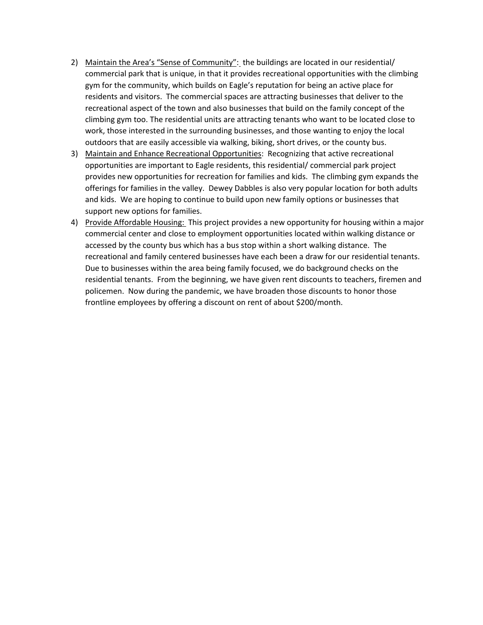- 2) Maintain the Area's "Sense of Community": the buildings are located in our residential/ commercial park that is unique, in that it provides recreational opportunities with the climbing gym for the community, which builds on Eagle's reputation for being an active place for residents and visitors. The commercial spaces are attracting businesses that deliver to the recreational aspect of the town and also businesses that build on the family concept of the climbing gym too. The residential units are attracting tenants who want to be located close to work, those interested in the surrounding businesses, and those wanting to enjoy the local outdoors that are easily accessible via walking, biking, short drives, or the county bus.
- 3) Maintain and Enhance Recreational Opportunities: Recognizing that active recreational opportunities are important to Eagle residents, this residential/ commercial park project provides new opportunities for recreation for families and kids. The climbing gym expands the offerings for families in the valley. Dewey Dabbles is also very popular location for both adults and kids. We are hoping to continue to build upon new family options or businesses that support new options for families.
- 4) Provide Affordable Housing: This project provides a new opportunity for housing within a major commercial center and close to employment opportunities located within walking distance or accessed by the county bus which has a bus stop within a short walking distance. The recreational and family centered businesses have each been a draw for our residential tenants. Due to businesses within the area being family focused, we do background checks on the residential tenants. From the beginning, we have given rent discounts to teachers, firemen and policemen. Now during the pandemic, we have broaden those discounts to honor those frontline employees by offering a discount on rent of about \$200/month.